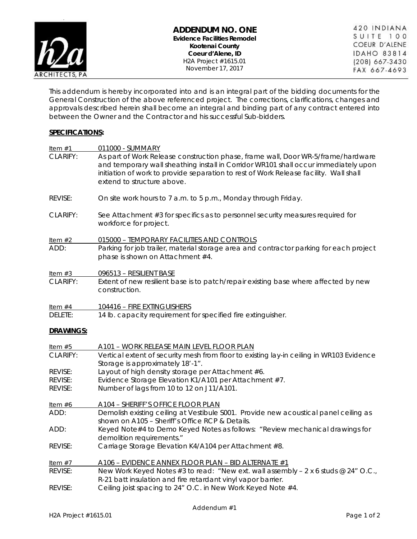

This addendum is hereby incorporated into and is an integral part of the bidding documents for the General Construction of the above referenced project. The corrections, clarifications, changes and approvals described herein shall become an integral and binding part of any contract entered into between the Owner and the Contractor and his successful Sub-bidders.

### **SPECIFICATIONS:**

| Item $#1$       | 011000 - SUMMARY                                                                                                                                                                                                                                                                               |
|-----------------|------------------------------------------------------------------------------------------------------------------------------------------------------------------------------------------------------------------------------------------------------------------------------------------------|
| CLARIFY:        | As part of Work Release construction phase, frame wall, Door WR-5/frame/hardware<br>and temporary wall sheathing install in Corridor WR101 shall occur immediately upon<br>initiation of work to provide separation to rest of Work Release facility. Wall shall<br>extend to structure above. |
| REVISE:         | On site work hours to 7 a.m. to 5 p.m., Monday through Friday.                                                                                                                                                                                                                                 |
| <b>CLARIFY:</b> | See Attachment #3 for specifics as to personnel security measures required for<br>workforce for project.                                                                                                                                                                                       |
| Item $#2$       | 015000 - TEMPORARY FACILITIES AND CONTROLS                                                                                                                                                                                                                                                     |
| ADD:            | Parking for job trailer, material storage area and contractor parking for each project<br>phase is shown on Attachment #4.                                                                                                                                                                     |
| Item $#3$       | 096513 - RESILIENT BASE                                                                                                                                                                                                                                                                        |
| CLARIFY:        | Extent of new resilient base is to patch/repair existing base where affected by new<br>construction.                                                                                                                                                                                           |
| Item $#4$       | 104416 - FIRE EXTINGUISHERS                                                                                                                                                                                                                                                                    |
| DELETE:         | 14 lb. capacity requirement for specified fire extinguisher.                                                                                                                                                                                                                                   |
| DRAWINGS:       |                                                                                                                                                                                                                                                                                                |
| Item $#5$       | A101 - WORK RELEASE MAIN LEVEL FLOOR PLAN                                                                                                                                                                                                                                                      |
| CLARIFY:        | Vertical extent of security mesh from floor to existing lay-in ceiling in WR103 Evidence<br>Storage is approximately 18'-1".                                                                                                                                                                   |
| REVISE:         | Layout of high density storage per Attachment #6.                                                                                                                                                                                                                                              |
| REVISE:         | Evidence Storage Elevation K1/A101 per Attachment #7.                                                                                                                                                                                                                                          |
| REVISE:         | Number of lags from 10 to 12 on J11/A101.                                                                                                                                                                                                                                                      |
| Item $#6$       | A104 - SHERIFF'S OFFICE FLOOR PLAN                                                                                                                                                                                                                                                             |
| ADD:            | Demolish existing ceiling at Vestibule S001. Provide new acoustical panel ceiling as<br>shown on A105 - Sheriff's Office RCP & Details.                                                                                                                                                        |
| ADD:            | Keyed Note#4 to Demo Keyed Notes as follows: "Review mechanical drawings for<br>demolition requirements."                                                                                                                                                                                      |
| REVISE:         | Carriage Storage Elevation K4/A104 per Attachment #8.                                                                                                                                                                                                                                          |
| Item $#7$       | A106 - EVIDENCE ANNEX FLOOR PLAN - BID ALTERNATE #1                                                                                                                                                                                                                                            |
| REVISE:         | New Work Keyed Notes #3 to read: "New ext. wall assembly - 2 x 6 studs @ 24" O.C.,<br>R-21 batt insulation and fire retardant vinyl vapor barrier.                                                                                                                                             |
| REVISE:         |                                                                                                                                                                                                                                                                                                |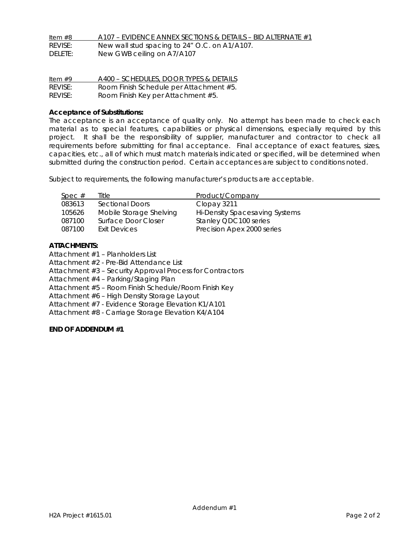| Item $#8$ | $A107$ – EVIDENCE ANNEX SECTIONS & DETAILS – BID ALTERNATE #1 |
|-----------|---------------------------------------------------------------|
| REVISE:   | New wall stud spacing to 24" O.C. on A1/A107.                 |
| DELETE:   | New GWB ceiling on A7/A107                                    |

| Item $#9$ | A400 - SCHEDULES, DOOR TYPES & DETAILS  |
|-----------|-----------------------------------------|
| REVISE:   | Room Finish Schedule per Attachment #5. |
| REVISE:   | Room Finish Key per Attachment #5.      |

#### **Acceptance of Substitutions:**

The acceptance is an acceptance of quality only. No attempt has been made to check each material as to special features, capabilities or physical dimensions, especially required by this project. It shall be the responsibility of supplier, manufacturer and contractor to check all requirements before submitting for final acceptance. Final acceptance of exact features, sizes, capacities, etc., all of which must match materials indicated or specified, will be determined when submitted during the construction period. Certain acceptances are subject to conditions noted.

Subject to requirements, the following manufacturer's products are acceptable.

| Spec # | Title                   | Product/Company                |
|--------|-------------------------|--------------------------------|
| 083613 | Sectional Doors         | Clopay 3211                    |
| 105626 | Mobile Storage Shelving | Hi-Density Spacesaving Systems |
| 087100 | Surface Door Closer     | Stanley QDC100 series          |
| 087100 | Exit Devices            | Precision Apex 2000 series     |
|        |                         |                                |

#### **ATTACHMENTS:**

Attachment #1 – Planholders List

Attachment #2 - Pre-Bid Attendance List

Attachment #3 – Security Approval Process for Contractors

Attachment #4 – Parking/Staging Plan

Attachment #5 – Room Finish Schedule/Room Finish Key

Attachment #6 – High Density Storage Layout

Attachment #7 - Evidence Storage Elevation K1/A101

Attachment #8 - Carriage Storage Elevation K4/A104

### **END OF ADDENDUM #1**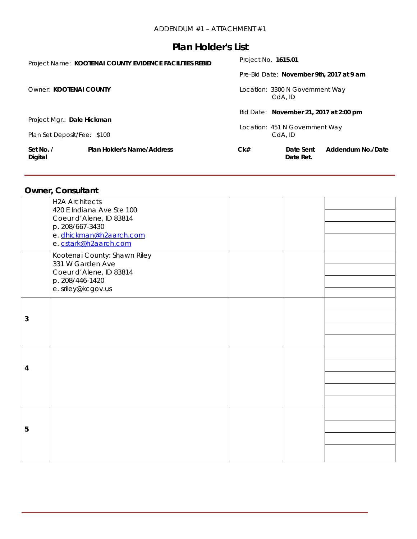| Set No. /<br>Digital        | <b>Plan Holder's Name/Address</b>                       | Ck#                                        | Date Sent<br>Date Ret.                 | Addendum No./Date                        |
|-----------------------------|---------------------------------------------------------|--------------------------------------------|----------------------------------------|------------------------------------------|
| Plan Set Deposit/Fee: \$100 |                                                         | Location: 451 N Government Way<br>CdA. ID  |                                        |                                          |
| Project Mgr.: Dale Hickman  |                                                         |                                            | Bid Date: November 21, 2017 at 2:00 pm |                                          |
| Owner: KOOTENAI COUNTY      |                                                         | Location: 3300 N Government Way<br>CdA. ID |                                        |                                          |
|                             |                                                         |                                            |                                        | Pre-Bid Date: November 9th, 2017 at 9 am |
|                             | Project Name: KOOTENAI COUNTY EVIDENCE FACILITIES REBID | Project No. <b>1615.01</b>                 |                                        |                                          |

## **Owner, Consultant**

|   | <b>H2A Architects</b><br>420 E Indiana Ave Ste 100<br>Coeur d'Alene, ID 83814<br>p. 208/667-3430<br>e. dhickman@h2aarch.com<br>e. cstark@h2aarch.com |  |  |
|---|------------------------------------------------------------------------------------------------------------------------------------------------------|--|--|
|   | Kootenai County: Shawn Riley<br>331 W Garden Ave<br>Coeur d'Alene, ID 83814<br>p. 208/446-1420<br>e. sriley@kcgov.us                                 |  |  |
| 3 |                                                                                                                                                      |  |  |
| 4 |                                                                                                                                                      |  |  |
| 5 |                                                                                                                                                      |  |  |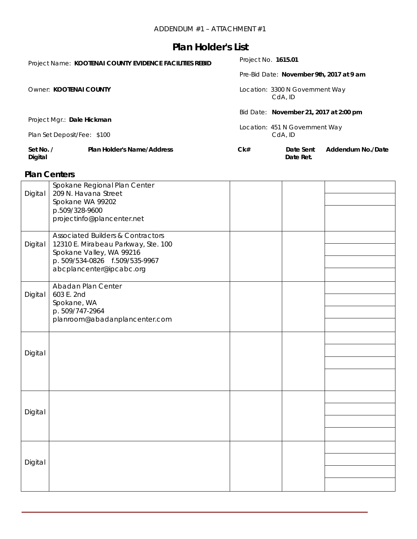|                                                           | Project Name: KOOTENAI COUNTY EVIDENCE FACILITIES REBID | Project No. 1615.01             |                        |                                          |
|-----------------------------------------------------------|---------------------------------------------------------|---------------------------------|------------------------|------------------------------------------|
|                                                           |                                                         |                                 |                        | Pre-Bid Date: November 9th, 2017 at 9 am |
| Owner: KOOTENAI COUNTY                                    |                                                         | Location: 3300 N Government Way | CdA, ID                |                                          |
|                                                           |                                                         |                                 |                        | Bid Date: November 21, 2017 at 2:00 pm   |
| Project Mgr.: Dale Hickman<br>Plan Set Deposit/Fee: \$100 |                                                         | Location: 451 N Government Way  | CdA. ID                |                                          |
| Set No. /<br>Digital                                      | <b>Plan Holder's Name/Address</b>                       | Ck#                             | Date Sent<br>Date Ret. | Addendum No./Date                        |

## **Plan Centers**

|         | Spokane Regional Plan Center                 |  |  |
|---------|----------------------------------------------|--|--|
| Digital | 209 N. Havana Street                         |  |  |
|         | Spokane WA 99202                             |  |  |
|         | p.509/328-9600                               |  |  |
|         | projectinfo@plancenter.net                   |  |  |
|         | <b>Associated Builders &amp; Contractors</b> |  |  |
| Digital | 12310 E. Mirabeau Parkway, Ste. 100          |  |  |
|         | Spokane Valley, WA 99216                     |  |  |
|         | p. 509/534-0826 f.509/535-9967               |  |  |
|         | abcplancenter@ipcabc.org                     |  |  |
|         |                                              |  |  |
|         | Abadan Plan Center                           |  |  |
| Digital | 603 E. 2nd<br>Spokane, WA                    |  |  |
|         | p. 509/747-2964                              |  |  |
|         | planroom@abadanplancenter.com                |  |  |
|         |                                              |  |  |
|         |                                              |  |  |
| Digital |                                              |  |  |
|         |                                              |  |  |
|         |                                              |  |  |
|         |                                              |  |  |
|         |                                              |  |  |
|         |                                              |  |  |
| Digital |                                              |  |  |
|         |                                              |  |  |
|         |                                              |  |  |
|         |                                              |  |  |
|         |                                              |  |  |
| Digital |                                              |  |  |
|         |                                              |  |  |
|         |                                              |  |  |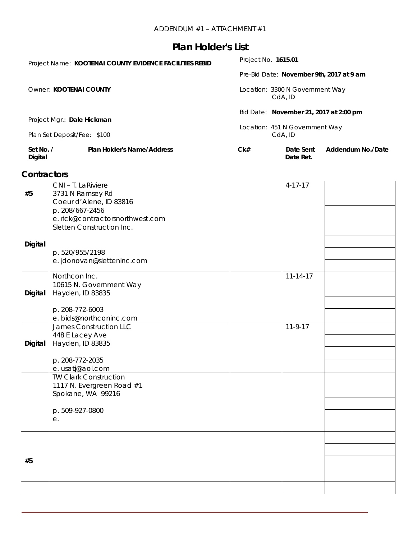| Set No. /<br>Digital                                      | <b>Plan Holder's Name/Address</b> | Ck#                             | Date Sent<br>Date Ret.                 | Addendum No./Date                        |  |
|-----------------------------------------------------------|-----------------------------------|---------------------------------|----------------------------------------|------------------------------------------|--|
| Project Mgr.: Dale Hickman<br>Plan Set Deposit/Fee: \$100 |                                   | Location: 451 N Government Way  | CdA. ID                                |                                          |  |
|                                                           |                                   |                                 | Bid Date: November 21, 2017 at 2:00 pm |                                          |  |
| Owner: KOOTENAI COUNTY                                    |                                   | Location: 3300 N Government Way | CdA. ID                                |                                          |  |
|                                                           |                                   |                                 |                                        | Pre-Bid Date: November 9th, 2017 at 9 am |  |
| Project Name: KOOTENAI COUNTY EVIDENCE FACILITIES REBID   |                                   |                                 | Project No. 1615.01                    |                                          |  |

## **Contractors**

|                | CNI - T. LaRiviere                          | $4 - 17 - 17$  |  |
|----------------|---------------------------------------------|----------------|--|
| #5             | 3731 N Ramsey Rd                            |                |  |
|                | Coeur d'Alene, ID 83816                     |                |  |
|                | p. 208/667-2456                             |                |  |
|                | e. rick@contractorsnorthwest.com            |                |  |
|                | Sletten Construction Inc.                   |                |  |
|                |                                             |                |  |
| Digital        |                                             |                |  |
|                | p. 520/955/2198                             |                |  |
|                | e. jdonovan@sletteninc.com                  |                |  |
|                | Northcon Inc.                               | $11 - 14 - 17$ |  |
|                |                                             |                |  |
| Digital        | 10615 N. Government Way<br>Hayden, ID 83835 |                |  |
|                |                                             |                |  |
|                | p. 208-772-6003                             |                |  |
|                | e. bids@northconinc.com                     |                |  |
|                | <b>James Construction LLC</b>               | $11-9-17$      |  |
|                | 448 E Lacey Ave                             |                |  |
| <b>Digital</b> | Hayden, ID 83835                            |                |  |
|                |                                             |                |  |
|                | p. 208-772-2035                             |                |  |
|                | e. usatj@aol.com                            |                |  |
|                | <b>TW Clark Construction</b>                |                |  |
|                | 1117 N. Evergreen Road #1                   |                |  |
|                | Spokane, WA 99216                           |                |  |
|                |                                             |                |  |
|                | p. 509-927-0800                             |                |  |
|                | е.                                          |                |  |
|                |                                             |                |  |
|                |                                             |                |  |
|                |                                             |                |  |
| #5             |                                             |                |  |
|                |                                             |                |  |
|                |                                             |                |  |
|                |                                             |                |  |
|                |                                             |                |  |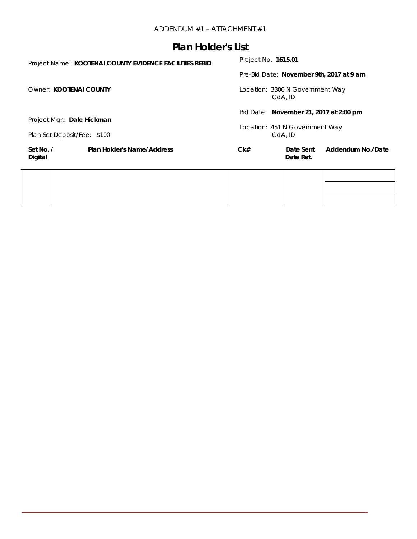| Project Name: KOOTENAI COUNTY EVIDENCE FACILITIES REBID |                                   | Project No. 1615.01 |                                            |                                          |  |
|---------------------------------------------------------|-----------------------------------|---------------------|--------------------------------------------|------------------------------------------|--|
|                                                         |                                   |                     |                                            | Pre-Bid Date: November 9th, 2017 at 9 am |  |
| Owner: KOOTENAI COUNTY                                  |                                   |                     | Location: 3300 N Government Way<br>CdA, ID |                                          |  |
| Project Mgr.: Dale Hickman                              |                                   |                     | Bid Date: November 21, 2017 at 2:00 pm     |                                          |  |
| Plan Set Deposit/Fee: \$100                             |                                   |                     | Location: 451 N Government Way<br>CdA, ID  |                                          |  |
| Set No. /<br>Digital                                    | <b>Plan Holder's Name/Address</b> | Ck#                 | Date Sent<br>Date Ret.                     | Addendum No./Date                        |  |
|                                                         |                                   |                     |                                            |                                          |  |
|                                                         |                                   |                     |                                            |                                          |  |
|                                                         |                                   |                     |                                            |                                          |  |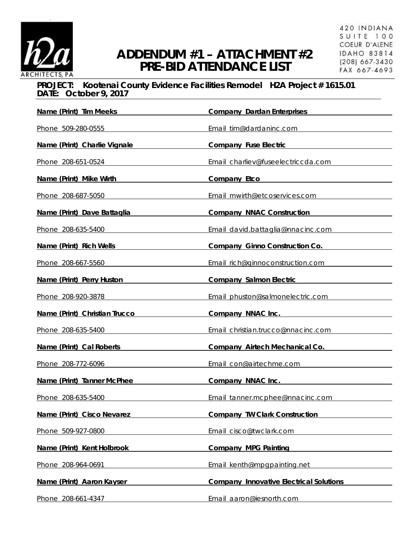

## **PROJECT: Kootenai County Evidence Facilities Remodel H2A Project # 1615.01 DATE: October 9, 2017**

| Name (Print) Tim Meeks                                                                                          | <b>Company Dardan Enterprises</b>                  |
|-----------------------------------------------------------------------------------------------------------------|----------------------------------------------------|
| Phone 509-280-0555                                                                                              | Email tim@dardaninc.com                            |
| Name (Print) Charlie Vignale                                                                                    | Company Fuse Electric <b>Company</b> Fuse Electric |
| Phone 208-651-0524                                                                                              | Email charliev@fuseelectriccda.com                 |
| Name (Print) Mike Wirth                                                                                         | Company Etco                                       |
| Phone 208-687-5050                                                                                              | Email mwirth@etcoservices.com                      |
| Name (Print) Dave Battaglia                                                                                     | <b>Company NNAC Construction</b>                   |
| Phone 208-635-5400                                                                                              | Email david.battaglia@nnacinc.com                  |
| Name (Print) Rich Wells News Allen News Allen News Allen News Allen News Allen News Allen News Allen News Allen | <b>Company Ginno Construction Co.</b>              |
| Phone 208-667-5560                                                                                              | Email rich@ginnoconstruction.com                   |
| <u>Name (Print) Perry Huston</u>                                                                                | Company Salmon Electric Company Salmon Electric    |
| Phone 208-920-3878                                                                                              | Email phuston@salmonelectric.com                   |
| Name (Print) Christian Trucco                                                                                   | Company NNAC Inc.                                  |
| Phone 208-635-5400 Phone 208-635-5400                                                                           | Email christian.trucco@nnacinc.com                 |
| Name (Print) Cal Roberts                                                                                        | <b>Company Airtech Mechanical Co.</b>              |
| Phone 208-772-6096                                                                                              | Email con@airtechme.com                            |
| Name (Print) Tanner McPhee                                                                                      | Company NNAC Inc.                                  |
| Phone 208-635-5400                                                                                              | Email tanner.mcphee@nnacinc.com                    |
| Name (Print) Cisco Nevarez                                                                                      | <b>Company TW Clark Construction</b>               |
| Phone 509-927-0800                                                                                              | Email cisco@twclark.com                            |
| Name (Print) Kent Holbrook                                                                                      | <b>Company MPG Painting</b>                        |
| Phone 208-964-0691                                                                                              | Email kenth@mpqpainting.net                        |
| Name (Print) Aaron Kayser                                                                                       | <b>Company Innovative Electrical Solutions</b>     |
| Phone 208-661-4347                                                                                              | Email aaron@iesnorth.com                           |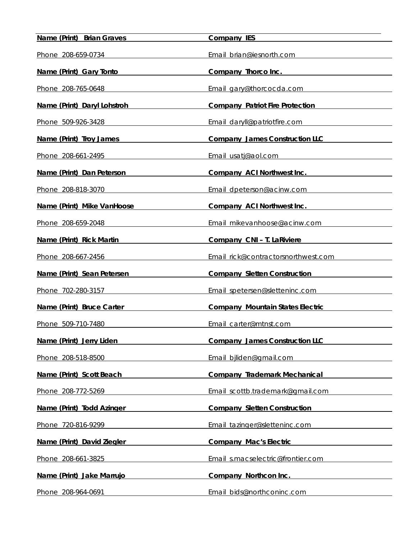| Name (Print) Brian Graves   | <b>Company IES</b>                      |
|-----------------------------|-----------------------------------------|
| Phone 208-659-0734          | Email brian@iesnorth.com                |
| Name (Print) Gary Tonto     | Company Thorco Inc.                     |
| Phone 208-765-0648          | Email gary@thorcocda.com                |
| Name (Print) Daryl Lohstroh | <b>Company Patriot Fire Protection</b>  |
| Phone 509-926-3428          | Email daryll@patriotfire.com            |
| Name (Print) Troy James     | <b>Company James Construction LLC</b>   |
| Phone 208-661-2495          | Email usatj@aol.com                     |
| Name (Print) Dan Peterson   | <b>Company ACI Northwest Inc.</b>       |
| Phone 208-818-3070          | Email dpeterson@acinw.com               |
| Name (Print) Mike VanHoose  | Company ACI Northwest Inc.              |
| Phone 208-659-2048          | Email mikevanhoose@acinw.com            |
| Name (Print) Rick Martin    | Company CNI - T. LaRiviere              |
| Phone 208-667-2456          | Email rick@contractorsnorthwest.com     |
| Name (Print) Sean Petersen  | <b>Company Sletten Construction</b>     |
| Phone 702-280-3157          | Email spetersen@sletteninc.com          |
| Name (Print) Bruce Carter   | <b>Company Mountain States Electric</b> |
| Phone 509-710-7480          | Email carter@mtnst.com                  |
| Name (Print) Jerry Liden    | <b>Company James Construction LLC</b>   |
| Phone 208-518-8500          | Email bjliden@gmail.com                 |
| Name (Print) Scott Beach    | <b>Company Trademark Mechanical</b>     |
| Phone 208-772-5269          | Email scottb.trademark@gmail.com        |
| Name (Print) Todd Azinger   | <b>Company Sletten Construction</b>     |
| Phone 720-816-9299          | Email tazinger@sletteninc.com           |
| Name (Print) David Ziegler  | <b>Company Mac's Electric</b>           |
| Phone 208-661-3825          | Email s.macselectric@frontier.com       |
| Name (Print) Jake Marrujo   | Company Northcon Inc.                   |
| Phone 208-964-0691          | Email bids@northconinc.com              |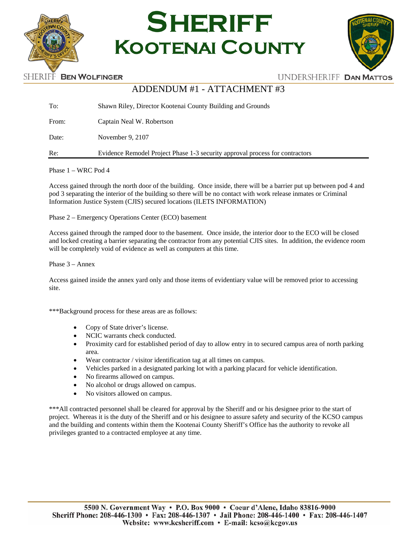



## ADDENDUM #1 - ATTACHMENT #3

| To:   | Shawn Riley, Director Kootenai County Building and Grounds                   |
|-------|------------------------------------------------------------------------------|
| From: | Captain Neal W. Robertson                                                    |
| Date: | November 9, 2107                                                             |
| Re:   | Evidence Remodel Project Phase 1-3 security approval process for contractors |

Phase 1 – WRC Pod 4

Access gained through the north door of the building. Once inside, there will be a barrier put up between pod 4 and pod 3 separating the interior of the building so there will be no contact with work release inmates or Criminal Information Justice System (CJIS) secured locations (ILETS INFORMATION)

Phase 2 – Emergency Operations Center (ECO) basement

Access gained through the ramped door to the basement. Once inside, the interior door to the ECO will be closed and locked creating a barrier separating the contractor from any potential CJIS sites. In addition, the evidence room will be completely void of evidence as well as computers at this time.

Phase 3 – Annex

Access gained inside the annex yard only and those items of evidentiary value will be removed prior to accessing site.

\*\*\*Background process for these areas are as follows:

- Copy of State driver's license.
- NCIC warrants check conducted.
- Proximity card for established period of day to allow entry in to secured campus area of north parking area.
- Wear contractor / visitor identification tag at all times on campus.
- Vehicles parked in a designated parking lot with a parking placard for vehicle identification.
- No firearms allowed on campus.
- No alcohol or drugs allowed on campus.
- No visitors allowed on campus.

\*\*\*All contracted personnel shall be cleared for approval by the Sheriff and or his designee prior to the start of project. Whereas it is the duty of the Sheriff and or his designee to assure safety and security of the KCSO campus and the building and contents within them the Kootenai County Sheriff's Office has the authority to revoke all privileges granted to a contracted employee at any time.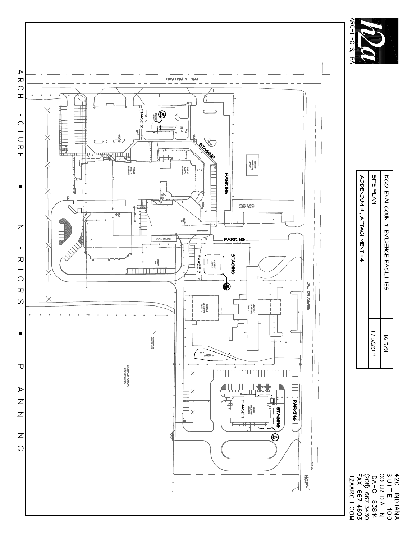

| KOOLENAI COINLY ENIDENCE FYCILILES | 1615.01           |
|------------------------------------|-------------------|
| SITE PLAN                          | <b>II/15/2011</b> |
| ADDENDMA #i YLLACHMENL #4          |                   |

420 INDIANA<br>SUITE 100<br>COEUR D'ALENE<br>IDAHO 8384<br>(RARCH.COM<br>H2AARCH.COM<br>H2AARCH.COM

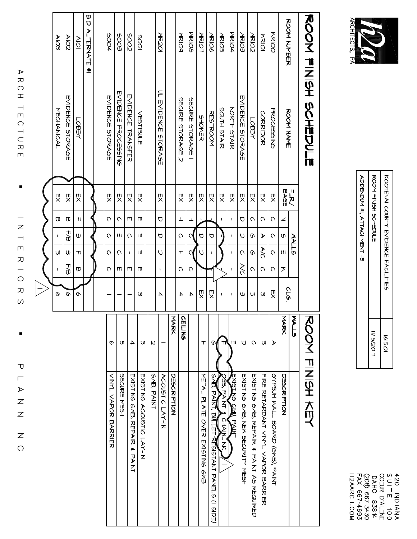| さい<br>I<br>Ξ<br>ŢΩ, |  |
|---------------------|--|
| 꼬                   |  |

|                     | くりワロMDMと #1, イヒイクエチfiNL #2                                |
|---------------------|-----------------------------------------------------------|
| 115/2017<br>1615.01 | ROOK HISH 20HEDILE<br>KOOLENAI COINIX ENIDENCE FACILITEES |

420 INDIANA<br>COEUR D'ALENE<br>COEUR D'ALENE<br>LOAHO 8381<br>(PAARCH.COM<br>H2AARCH.COM<br>H2AARCH.COM

|                                 | ありつて ケミッキ のクキサンラロ               |                       |              |                       |                |                       |                |                       | ありりと にちごみ 大切と                                                                                                                            |
|---------------------------------|---------------------------------|-----------------------|--------------|-----------------------|----------------|-----------------------|----------------|-----------------------|------------------------------------------------------------------------------------------------------------------------------------------|
|                                 |                                 |                       |              | <b>NALLS</b>          |                |                       |                | <b>AALLS</b>          |                                                                                                                                          |
| ありつて ろえののた                      | <b>ROOK XAXE</b>                | <b>FLR./<br/>BASE</b> | z            | c                     | ш              | Σ                     | <b>972</b>     | てみのス                  | DESCRIPTION                                                                                                                              |
| <b>NRIOO</b>                    | PROCESSING                      | 쨧                     | $\circ$      | U                     | C              | C                     | 贝              | $\blacktriangleright$ | <b>GYPSHY NATL BOARD (GAB), PAINT</b>                                                                                                    |
| <b>NRIOI</b>                    | <b>CORRIDOR</b>                 | 贝                     | $\circ$      | $\blacktriangleright$ | AC             | $\circ$               | $\omega$       | Φ                     | LIKE KELYSDYNL AIWAI AYDK BYKSIEK                                                                                                        |
| <b>MRIO2</b>                    | LOBBY                           | 贝                     | $\circ$      | O                     | O              | $\circ$               | Ul             | $\circ$               | EXPLING GYB, KEPYIK # FYINI Yo KESOLIKED                                                                                                 |
| <b>MRIO3</b>                    | <b>EVIDENCE STORAGE</b>         | 꼇                     | $\Box$       | $\overline{C}$        | $\circ$        | R                     | ω              | þ                     | EXi2LING GNB) AEN 3ECNALLS NE3H                                                                                                          |
| MRIO4                           | NORTH STAIR                     | 贝                     | $\mathbf I$  | $\mathbf{I}$          | $\mathbf{I}$   | $\mathbf{I}$          | $\mathbf I$    | Ш                     | EXIGL<br>A<br>わしょう しょうかん しょうかん しゅうきょう しゃくりょう しゅうかん しゃくりょう しんけい しゅうかい しゅうかい しゅうかい おおし こうしゃ こうしゃ アイファイル しょうかい しゅうかい しゅうかい しゅうかい<br>D<br>∖≧ |
| <b>NRIO5</b>                    | SOUTH STAIR                     | 핏                     | $\mathbf{I}$ |                       |                |                       | $\mathbf{I}$   | ᆊ                     | OSB, PAINT<br>CHAINFINK                                                                                                                  |
| <b>MRIO6</b>                    | RESTROOM                        | 贝                     |              | $\Box$                | ı              |                       | 贝              | U)                    | のMB, FYIL, BILLEI AEGIOLYNI FYNEI-2<br>(15D)                                                                                             |
| <b>NRIOT</b>                    | <b>SHONER</b>                   | 贝                     | I.           | $\overline{C}$        | D              |                       | 贝              | Ŧ                     | NETAL PLAIE OVER EXISTING ORB                                                                                                            |
| <b>MRIO8</b>                    | SECURE STORAGE                  | 贝                     | Ŧ            | C                     | ᢉ              | $\circ$               | $\overline{+}$ |                       |                                                                                                                                          |
| MRIOA                           | SECURE STORAGE<br>N             | 贝                     | $\pm$        | $\circ$               | $\mathbf T$    | $\circ$               | 4              | $\mathbf o$<br>ミニる    |                                                                                                                                          |
|                                 |                                 |                       |              |                       |                |                       |                | <b>NARK</b>           | DESCRIPTION                                                                                                                              |
| <b>MR201</b>                    | ۴<br><b>EVIDENCE</b><br>STORAGE | 낏                     | D            | D                     | D              | $\mathbf I$           | 4              |                       | ACOUSTIC LAY-IN                                                                                                                          |
|                                 |                                 |                       |              |                       |                |                       |                | N                     | GNB, PAINT                                                                                                                               |
| 500                             | VESTIBULE                       | 贝                     | ш            | ш                     | ш              | Ш                     | M              | $\omega$              | EXISTING ACOUSTIC LAY-IN                                                                                                                 |
| 2005                            | <b>FANCH INVESTER</b>           | 贝                     | Ш            | $\circ$               | $\mathbf{I}$   | Ш                     |                | $\overline{4}$        | <b>FXICLING のNB、KEPAIK # FAIKI</b>                                                                                                       |
| 5003                            | FVDENCE PROCESSING              | 핏                     | $\circ$      | Ш                     | $\circ$        | Ш                     |                | <b>UI</b>             | SECNEE MESH                                                                                                                              |
| 5004                            | EVIDENCE STORAGE                | 贝                     | $\circ$      | $\circ$               | $\circ$        | $\Omega$              |                | o                     | <b>NINT NAPOK BAKAILK</b>                                                                                                                |
|                                 |                                 |                       |              |                       |                |                       |                |                       |                                                                                                                                          |
| m<br>D<br><b>ALTERNATE</b><br>× |                                 |                       |              |                       |                |                       |                |                       |                                                                                                                                          |
| $\Delta  O $                    | LOBBY                           | 핏                     | ᆩ            | $\boldsymbol{\varpi}$ | $\mathsf{\pi}$ | $\boldsymbol{\varpi}$ | $\varphi$      |                       |                                                                                                                                          |
| AIO2                            | <b>FVIDENCE STORAGE</b>         | 띳                     | ā            | 門                     | ā              | 下田                    | o              |                       |                                                                                                                                          |
| Alo3                            | MECHANICAL                      | 贝                     | Φ            | $\mathbf{I}$          | Φ              | $\mathbf{I}$          | o              |                       |                                                                                                                                          |
|                                 |                                 |                       |              |                       |                |                       |                |                       |                                                                                                                                          |
|                                 |                                 |                       |              |                       |                |                       |                |                       |                                                                                                                                          |

 $\overline{\phantom{a}}$ 

 $\overline{\phantom{0}}$  $\overline{z}$  $\overline{\phantom{a}}$  $\overline{\Box}$ 

R I O R

 $\omega$ 

 $\overline{\phantom{a}}$ 

 $\bigcup$  $\overline{\Box}$  $\blacktriangleright$  $\overline{z}$ 

 $Z - Z$ 

 $\circ$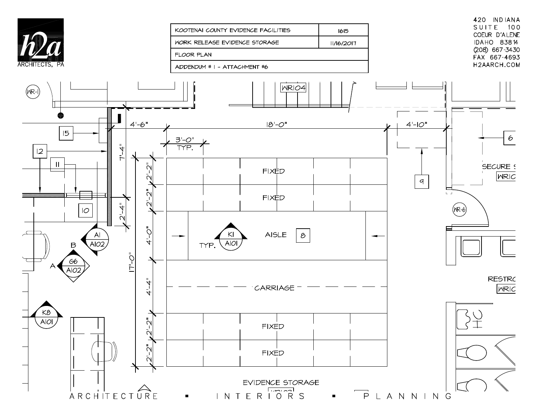

| KOOTENAI COUNTY EVIDENCE FACILITIES | 1615       |
|-------------------------------------|------------|
| WORK RELEASE EVIDENCE STORAGE       | 11/16/2017 |
| FLOOR PLAN                          |            |
| ADDENDUM # I - ATTACHMENT #6        |            |

420 INDIANA SUITE 100 COEUR D'ALENE IDAHO 83814 (208) 667-3430 FAX 667-4693 H2AARCH.COM

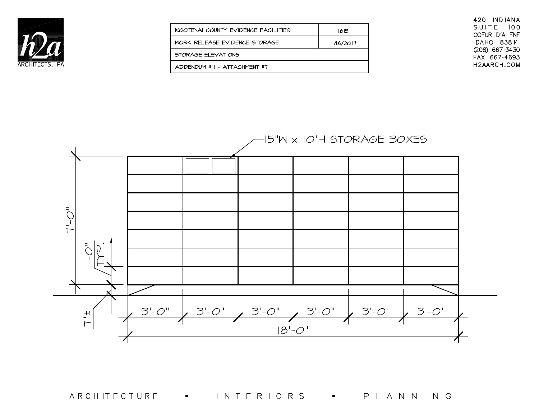

| KOOTENAI COUNTY EVIDENCE FACILITIES  | 1615       |
|--------------------------------------|------------|
| <b>WORK RELEASE EVIDENCE STORAGE</b> | 11/16/2017 |
| STORAGE ELEVATIONS                   |            |
| ADDENDIM # I - ATTACHMENT #7         |            |

420 INDIANA SUITE 100 COEUR D'ALENE IDAHO 83814 (208) 667-3430 FAX 667-4693 H2AARCH.COM



ARCHITECTURE INTERIORS **B** PLANNING